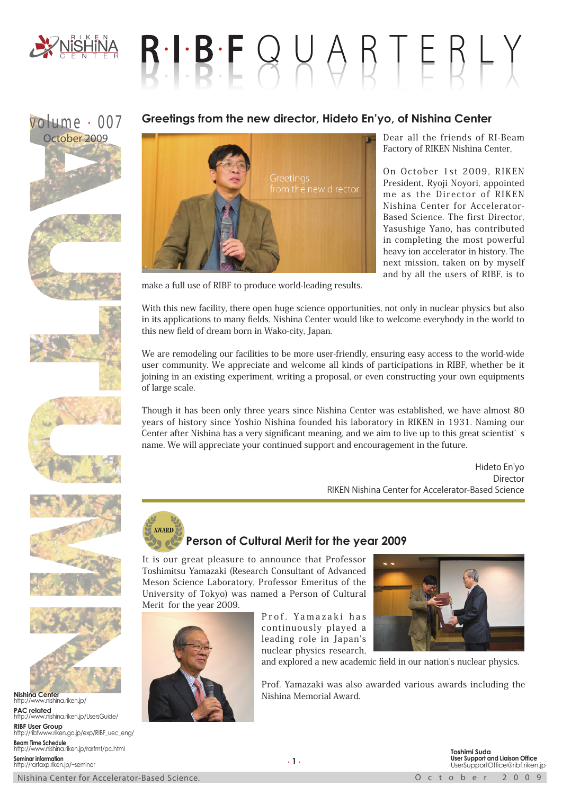

# $R \cdot I \cdot B \cdot F \cup Q \cup Q \cap F \in R \cup Y$

## volume . 007













**Nishina Center** http://www.nishina.riken.jp/ **PAC related** http://www.nishina.riken.jp/UsersGuide/ **RIBF User Group** http://ribfwww.riken.go.jp/exp/RIBF\_uec\_eng/ **Beam Time Schedule** http://www.nishina.riken.jp/rarfmt/pc.html **Seminar information** http://rarfaxp.riken.jp/~seminar

### **Greetings from the new director, Hideto En'yo, of Nishina Center**



Dear all the friends of RI-Beam Factory of RIKEN Nishina Center,

On October 1st 2009, RIKEN President, Ryoji Noyori, appointed me as the Director of RIKEN Nishina Center for Accelerator-Based Science. The first Director, Yasushige Yano, has contributed in completing the most powerful heavy ion accelerator in history. The next mission, taken on by myself and by all the users of RIBF, is to

make a full use of RIBF to produce world-leading results.

With this new facility, there open huge science opportunities, not only in nuclear physics but also in its applications to many fields. Nishina Center would like to welcome everybody in the world to this new field of dream born in Wako-city, Japan.

We are remodeling our facilities to be more user-friendly, ensuring easy access to the world-wide user community. We appreciate and welcome all kinds of participations in RIBF, whether be it joining in an existing experiment, writing a proposal, or even constructing your own equipments of large scale.

Though it has been only three years since Nishina Center was established, we have almost 80 years of history since Yoshio Nishina founded his laboratory in RIKEN in 1931. Naming our Center after Nishina has a very significant meaning, and we aim to live up to this great scientist' s name. We will appreciate your continued support and encouragement in the future.

> Hideto En'yo Director RIKEN Nishina Center for Accelerator-Based Science

#### **AWARD Person of Cultural Merit for the year 2009**

It is our great pleasure to announce that Professor Toshimitsu Yamazaki (Research Consultant of Advanced Meson Science Laboratory, Professor Emeritus of the University of Tokyo) was named a Person of Cultural Merit for the year 2009.

> Prof. Yamazaki has continuously played a leading role in Japan's nuclear physics research,



and explored a new academic field in our nation's nuclear physics.

Prof. Yamazaki was also awarded various awards including the Nishina Memorial Award.

Nishina Center for Accelerator-Based Science. The Contract of Contract Contract Contract Contract Contract Contract Contract Contract Contract Contract Contract Contract Contract Contract Contract Contract Contract Contrac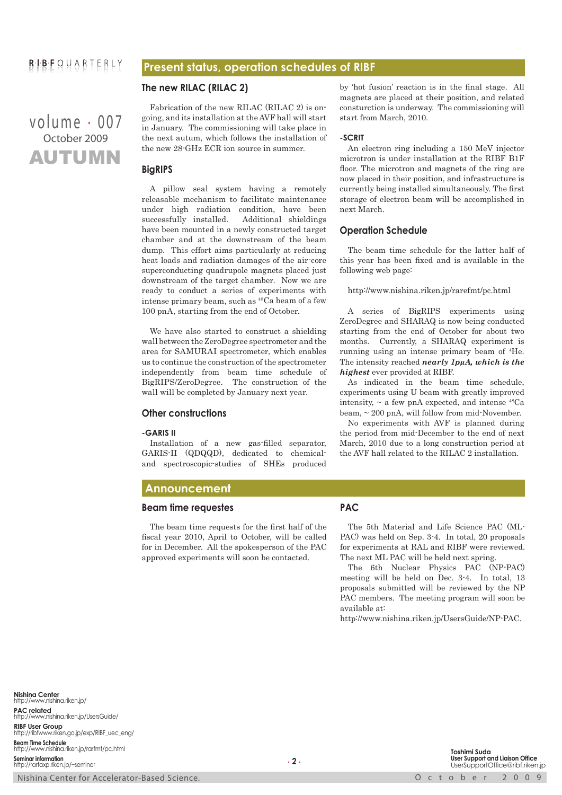#### **Present status, operation schedules of RIBF**

#### **The new RILAC (RILAC 2)**

AUTUMN volume . 007 October 2009

Fabrication of the new RILAC (RILAC 2) is ongoing, and its installation at the AVF hall will start in January. The commissioning will take place in the next autum, which follows the installation of the new 28-GHz ECR ion source in summer.

#### **BigRIPS**

A pillow seal system having a remotely releasable mechanism to facilitate maintenance under high radiation condition, have been successfully installed. Additional shieldings have been mounted in a newly constructed target chamber and at the downstream of the beam dump. This effort aims particularly at reducing heat loads and radiation damages of the air-core superconducting quadrupole magnets placed just downstream of the target chamber. Now we are ready to conduct a series of experiments with intense primary beam, such as 48Ca beam of a few 100 pnA, starting from the end of October.

We have also started to construct a shielding wall between the ZeroDegree spectrometer and the area for SAMURAI spectrometer, which enables us to continue the construction of the spectrometer independently from beam time schedule of BigRIPS/ZeroDegree. The construction of the wall will be completed by January next year.

#### **Other constructions**

#### **-GARIS II**

Installation of a new gas-filled separator, GARIS-II (QDQQD), dedicated to chemicaland spectroscopic-studies of SHEs produced by 'hot fusion' reaction is in the final stage. All magnets are placed at their position, and related consturction is underway. The commissioning will start from March, 2010.

#### **-SCRIT**

An electron ring including a 150 MeV injector microtron is under installation at the RIBF B1F floor. The microtron and magnets of the ring are now placed in their position, and infrastructure is currently being installed simultaneously. The first storage of electron beam will be accomplished in next March.

#### **Operation Schedule**

The beam time schedule for the latter half of this year has been fixed and is available in the following web page:

#### http://www.nishina.riken.jp/rarefmt/pc.html

A series of BigRIPS experiments using ZeroDegree and SHARAQ is now being conducted starting from the end of October for about two months. Currently, a SHARAQ experiment is running using an intense primary beam of 4 He. The intensity reached *nearly 1pμA, which is the highest* ever provided at RIBF.

As indicated in the beam time schedule, experiments using U beam with greatly improved intensity,  $\sim$  a few pnA expected, and intense  $^{48}Ca$ beam, ~ 200 pnA, will follow from mid-November.

No experiments with AVF is planned during the period from mid-December to the end of next March, 2010 due to a long construction period at the AVF hall related to the RILAC 2 installation.

#### **Announcement**

#### **Beam time requestes**

The beam time requests for the first half of the fiscal year 2010, April to October, will be called for in December. All the spokesperson of the PAC approved experiments will soon be contacted.

#### **PAC**

The 5th Material and Life Science PAC (ML-PAC) was held on Sep. 3-4. In total, 20 proposals for experiments at RAL and RIBF were reviewed. The next ML PAC will be held next spring.

The 6th Nuclear Physics PAC (NP-PAC) meeting will be held on Dec. 3-4. In total, 13 proposals submitted will be reviewed by the NP PAC members. The meeting program will soon be available at:

http://www.nishina.riken.jp/UsersGuide/NP-PAC.

**Nishina Center** http://www.nishina.riken.jp/ **PAC related** http://www.nishina.riken.jp/UsersGuide/ **RIBF User Group** http://ribfwww.riken.go.jp/exp/RIBF\_uec\_eng/ **Beam Time Schedule** http://www.nishina.riken.jp/rarfmt/pc.html **Seminar information** http://rarfaxp.riken.jp/~seminar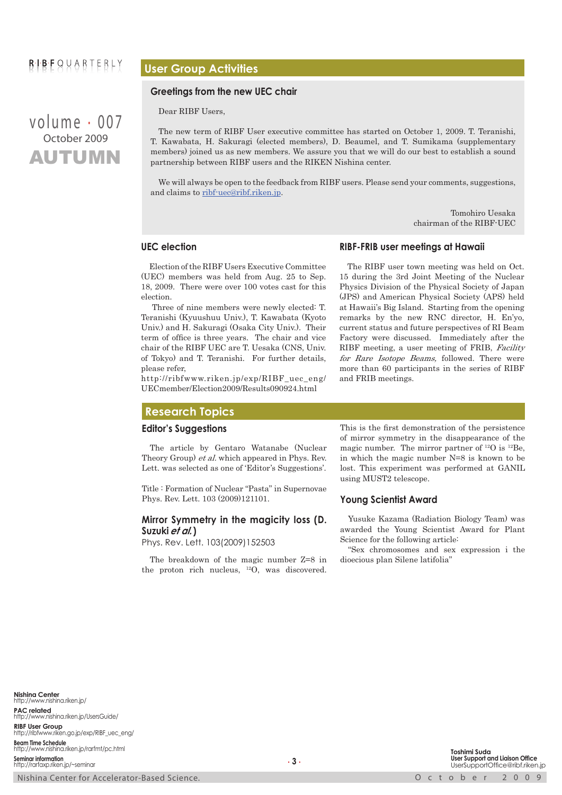## $B \cup B$   $F \cup Q \cup A$   $B$   $T$   $F$   $B$   $L$   $Y$

AUTUMN volume . 007 October 2009

#### **User Group Activities**

#### **Greetings from the new UEC chair**

Dear RIBF Users,

The new term of RIBF User executive committee has started on October 1, 2009. T. Teranishi, T. Kawabata, H. Sakuragi (elected members), D. Beaumel, and T. Sumikama (supplementary members) joined us as new members. We assure you that we will do our best to establish a sound partnership between RIBF users and the RIKEN Nishina center.

We will always be open to the feedback from RIBF users. Please send your comments, suggestions, and claims to ribf-uec@ribf.riken.jp.

> Tomohiro Uesaka chairman of the RIBF-UEC

#### **UEC election**

Election of the RIBF Users Executive Committee (UEC) members was held from Aug. 25 to Sep. 18, 2009. There were over 100 votes cast for this election.

 Three of nine members were newly elected: T. Teranishi (Kyuushuu Univ.), T. Kawabata (Kyoto Univ.) and H. Sakuragi (Osaka City Univ.). Their term of office is three years. The chair and vice chair of the RIBF UEC are T. Uesaka (CNS, Univ. of Tokyo) and T. Teranishi. For further details, please refer,

http://ribfwww.riken.jp/exp/RIBF\_uec\_eng/ UECmember/Election2009/Results090924.html

#### **Research Topics**

#### **Editor's Suggestions**

The article by Gentaro Watanabe (Nuclear Theory Group) et al. which appeared in Phys. Rev. Lett. was selected as one of 'Editor's Suggestions'.

Title : Formation of Nuclear "Pasta" in Supernovae Phys. Rev. Lett. 103 (2009)121101.

#### **Mirror Symmetry in the magicity loss (D. Suzuki et al.)**

Phys. Rev. Lett. 103(2009)152503

The breakdown of the magic number Z=8 in the proton rich nucleus, 12O, was discovered.

#### **RIBF-FRIB user meetings at Hawaii**

The RIBF user town meeting was held on Oct. 15 during the 3rd Joint Meeting of the Nuclear Physics Division of the Physical Society of Japan (JPS) and American Physical Society (APS) held at Hawaii's Big Island. Starting from the opening remarks by the new RNC director, H. En'yo, current status and future perspectives of RI Beam Factory were discussed. Immediately after the RIBF meeting, a user meeting of FRIB, Facility for Rare Isotope Beams, followed. There were more than 60 participants in the series of RIBF and FRIB meetings.

This is the first demonstration of the persistence of mirror symmetry in the disappearance of the magic number. The mirror partner of 12O is 12Be, in which the magic number N=8 is known to be lost. This experiment was performed at GANIL using MUST2 telescope.

#### **Young Scientist Award**

Yusuke Kazama (Radiation Biology Team) was awarded the Young Scientist Award for Plant Science for the following article:

"Sex chromosomes and sex expression i the dioecious plan Silene latifolia"

**Nishina Center** http://www.nishina.riken.jp/ **PAC related** http://www.nishina.riken.jp/UsersGuide/ **RIBF User Group** http://ribfwww.riken.go.jp/exp/RIBF\_uec\_eng/ **Beam Time Schedule** http://www.nishina.riken.jp/rarfmt/pc.html **Seminar information** http://rarfaxp.riken.jp/~seminar